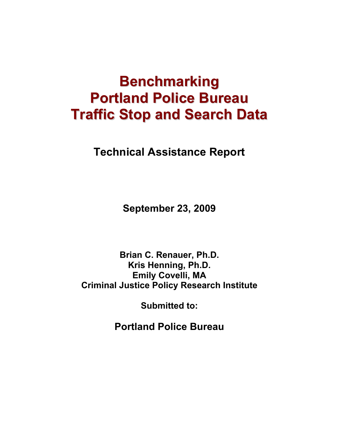# **Benchmarking Portland Police Bureau Traffic Stop and Search Data**

**Technical Assistance Report** 

**September 23, 2009** 

**Brian C. Renauer, Ph.D. Kris Henning, Ph.D. Emily Covelli, MA Criminal Justice Policy Research Institute** 

**Submitted to:** 

**Portland Police Bureau**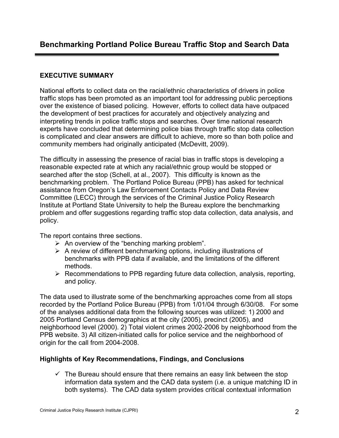# **EXECUTIVE SUMMARY**

National efforts to collect data on the racial/ethnic characteristics of drivers in police traffic stops has been promoted as an important tool for addressing public perceptions over the existence of biased policing. However, efforts to collect data have outpaced the development of best practices for accurately and objectively analyzing and interpreting trends in police traffic stops and searches. Over time national research experts have concluded that determining police bias through traffic stop data collection is complicated and clear answers are difficult to achieve, more so than both police and community members had originally anticipated (McDevitt, 2009).

The difficulty in assessing the presence of racial bias in traffic stops is developing a reasonable expected rate at which any racial/ethnic group would be stopped or searched after the stop (Schell, at al., 2007). This difficulty is known as the benchmarking problem. The Portland Police Bureau (PPB) has asked for technical assistance from Oregon's Law Enforcement Contacts Policy and Data Review Committee (LECC) through the services of the Criminal Justice Policy Research Institute at Portland State University to help the Bureau explore the benchmarking problem and offer suggestions regarding traffic stop data collection, data analysis, and policy.

The report contains three sections.

- $\triangleright$  An overview of the "benching marking problem".
- $\triangleright$  A review of different benchmarking options, including illustrations of benchmarks with PPB data if available, and the limitations of the different methods.
- $\triangleright$  Recommendations to PPB regarding future data collection, analysis, reporting, and policy.

The data used to illustrate some of the benchmarking approaches come from all stops recorded by the Portland Police Bureau (PPB) from 1/01/04 through 6/30/08. For some of the analyses additional data from the following sources was utilized: 1) 2000 and 2005 Portland Census demographics at the city (2005), precinct (2005), and neighborhood level (2000). 2) Total violent crimes 2002-2006 by neighborhood from the PPB website. 3) All citizen-initiated calls for police service and the neighborhood of origin for the call from 2004-2008.

# **Highlights of Key Recommendations, Findings, and Conclusions**

 $\checkmark$  The Bureau should ensure that there remains an easy link between the stop information data system and the CAD data system (i.e. a unique matching ID in both systems). The CAD data system provides critical contextual information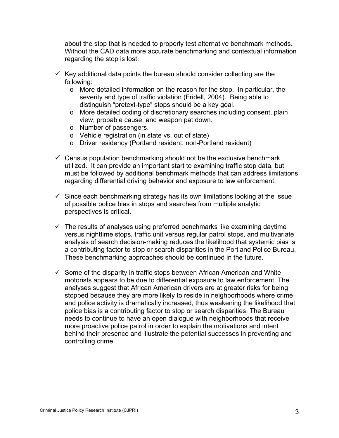about the stop that is needed to properly test alternative benchmark methods. Without the CAD data more accurate benchmarking and contextual information regarding the stop is lost.

- $\checkmark$  Key additional data points the bureau should consider collecting are the following:
	- $\circ$  More detailed information on the reason for the stop. In particular, the severity and type of traffic violation (Fridell, 2004). Being able to distinguish "pretext-type" stops should be a key goal.
	- o More detailed coding of discretionary searches including consent, plain view, probable cause, and weapon pat down.
	- o Number of passengers.
	- o Vehicle registration (in state vs. out of state)
	- o Driver residency (Portland resident, non-Portland resident)
- $\checkmark$  Census population benchmarking should not be the exclusive benchmark utilized. It can provide an important start to examining traffic stop data, but must be followed by additional benchmark methods that can address limitations regarding differential driving behavior and exposure to law enforcement.
- $\checkmark$  Since each benchmarking strategy has its own limitations looking at the issue of possible police bias in stops and searches from multiple analytic perspectives is critical.
- $\checkmark$  The results of analyses using preferred benchmarks like examining daytime versus nighttime stops, traffic unit versus regular patrol stops, and multivariate analysis of search decision-making reduces the likelihood that systemic bias is a contributing factor to stop or search disparities in the Portland Police Bureau. These benchmarking approaches should be continued in the future.
- $\checkmark$  Some of the disparity in traffic stops between African American and White motorists appears to be due to differential exposure to law enforcement. The analyses suggest that African American drivers are at greater risks for being stopped because they are more likely to reside in neighborhoods where crime and police activity is dramatically increased, thus weakening the likelihood that police bias is a contributing factor to stop or search disparities. The Bureau needs to continue to have an open dialogue with neighborhoods that receive more proactive police patrol in order to explain the motivations and intent behind their presence and illustrate the potential successes in preventing and controlling crime.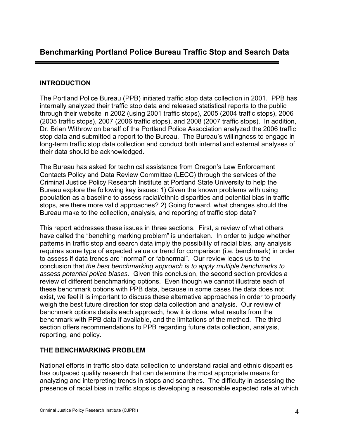# **INTRODUCTION**

The Portland Police Bureau (PPB) initiated traffic stop data collection in 2001. PPB has internally analyzed their traffic stop data and released statistical reports to the public through their website in 2002 (using 2001 traffic stops), 2005 (2004 traffic stops), 2006 (2005 traffic stops), 2007 (2006 traffic stops), and 2008 (2007 traffic stops). In addition, Dr. Brian Withrow on behalf of the Portland Police Association analyzed the 2006 traffic stop data and submitted a report to the Bureau. The Bureau's willingness to engage in long-term traffic stop data collection and conduct both internal and external analyses of their data should be acknowledged.

The Bureau has asked for technical assistance from Oregon's Law Enforcement Contacts Policy and Data Review Committee (LECC) through the services of the Criminal Justice Policy Research Institute at Portland State University to help the Bureau explore the following key issues: 1) Given the known problems with using population as a baseline to assess racial/ethnic disparities and potential bias in traffic stops, are there more valid approaches? 2) Going forward, what changes should the Bureau make to the collection, analysis, and reporting of traffic stop data?

This report addresses these issues in three sections. First, a review of what others have called the "benching marking problem" is undertaken. In order to judge whether patterns in traffic stop and search data imply the possibility of racial bias, any analysis requires some type of expected value or trend for comparison (i.e. benchmark) in order to assess if data trends are "normal" or "abnormal". Our review leads us to the conclusion that *the best benchmarking approach is to apply multiple benchmarks to assess potential police biases.* Given this conclusion, the second section provides a review of different benchmarking options. Even though we cannot illustrate each of these benchmark options with PPB data, because in some cases the data does not exist, we feel it is important to discuss these alternative approaches in order to properly weigh the best future direction for stop data collection and analysis. Our review of benchmark options details each approach, how it is done, what results from the benchmark with PPB data if available, and the limitations of the method. The third section offers recommendations to PPB regarding future data collection, analysis, reporting, and policy.

# **THE BENCHMARKING PROBLEM**

National efforts in traffic stop data collection to understand racial and ethnic disparities has outpaced quality research that can determine the most appropriate means for analyzing and interpreting trends in stops and searches. The difficulty in assessing the presence of racial bias in traffic stops is developing a reasonable expected rate at which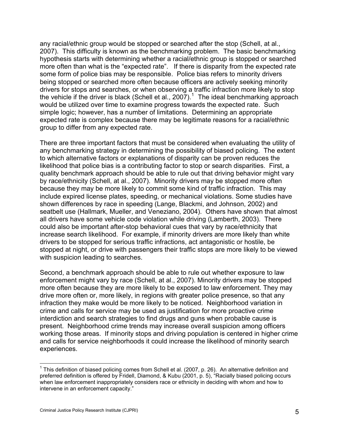<span id="page-4-0"></span>any racial/ethnic group would be stopped or searched after the stop (Schell, at al., 2007). This difficulty is known as the benchmarking problem. The basic benchmarking hypothesis starts with determining whether a racial/ethnic group is stopped or searched more often than what is the "expected rate". If there is disparity from the expected rate some form of police bias may be responsible. Police bias refers to minority drivers being stopped or searched more often because officers are actively seeking minority drivers for stops and searches, or when observing a traffic infraction more likely to stop the vehicle if the driver is black (Schell et al., 2007).<sup>[1](#page-4-0)</sup> The ideal benchmarking approach would be utilized over time to examine progress towards the expected rate. Such simple logic; however, has a number of limitations. Determining an appropriate expected rate is complex because there may be legitimate reasons for a racial/ethnic group to differ from any expected rate.

There are three important factors that must be considered when evaluating the utility of any benchmarking strategy in determining the possibility of biased policing. The extent to which alternative factors or explanations of disparity can be proven reduces the likelihood that police bias is a contributing factor to stop or search disparities. First, a quality benchmark approach should be able to rule out that driving behavior might vary by race/ethnicity (Schell, at al., 2007). Minority drivers may be stopped more often because they may be more likely to commit some kind of traffic infraction. This may include expired license plates, speeding, or mechanical violations. Some studies have shown differences by race in speeding (Lange, Blackmi, and Johnson, 2002) and seatbelt use (Hallmark, Mueller, and Veneziano, 2004). Others have shown that almost all drivers have some vehicle code violation while driving (Lamberth, 2003). There could also be important after-stop behavioral cues that vary by race/ethnicity that increase search likelihood. For example, if minority drivers are more likely than white drivers to be stopped for serious traffic infractions, act antagonistic or hostile, be stopped at night, or drive with passengers their traffic stops are more likely to be viewed with suspicion leading to searches.

Second, a benchmark approach should be able to rule out whether exposure to law enforcement might vary by race (Schell, at al., 2007). Minority drivers may be stopped more often because they are more likely to be exposed to law enforcement. They may drive more often or, more likely, in regions with greater police presence, so that any infraction they make would be more likely to be noticed. Neighborhood variation in crime and calls for service may be used as justification for more proactive crime interdiction and search strategies to find drugs and guns when probable cause is present. Neighborhood crime trends may increase overall suspicion among officers working those areas. If minority stops and driving population is centered in higher crime and calls for service neighborhoods it could increase the likelihood of minority search experiences.

 1 This definition of biased policing comes from Schell et al. (2007, p. 26). An alternative definition and preferred definition is offered by Fridell, Diamond, & Kubu (2001, p. 5), "Racially biased policing occurs when law enforcement inappropriately considers race or ethnicity in deciding with whom and how to intervene in an enforcement capacity."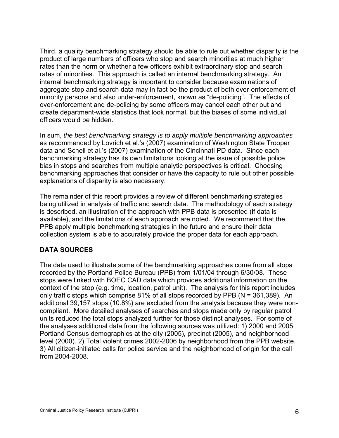Third, a quality benchmarking strategy should be able to rule out whether disparity is the product of large numbers of officers who stop and search minorities at much higher rates than the norm or whether a few officers exhibit extraordinary stop and search rates of minorities. This approach is called an internal benchmarking strategy. An internal benchmarking strategy is important to consider because examinations of aggregate stop and search data may in fact be the product of both over-enforcement of minority persons and also under-enforcement, known as "de-policing". The effects of over-enforcement and de-policing by some officers may cancel each other out and create department-wide statistics that look normal, but the biases of some individual officers would be hidden.

In sum, *the best benchmarking strategy is to apply multiple benchmarking approaches* as recommended by Lovrich et al.'s (2007) examination of Washington State Trooper data and Schell et al.'s (2007) examination of the Cincinnati PD data. Since each benchmarking strategy has its own limitations looking at the issue of possible police bias in stops and searches from multiple analytic perspectives is critical. Choosing benchmarking approaches that consider or have the capacity to rule out other possible explanations of disparity is also necessary.

The remainder of this report provides a review of different benchmarking strategies being utilized in analysis of traffic and search data. The methodology of each strategy is described, an illustration of the approach with PPB data is presented (if data is available), and the limitations of each approach are noted. We recommend that the PPB apply multiple benchmarking strategies in the future and ensure their data collection system is able to accurately provide the proper data for each approach.

# **DATA SOURCES**

The data used to illustrate some of the benchmarking approaches come from all stops recorded by the Portland Police Bureau (PPB) from 1/01/04 through 6/30/08. These stops were linked with BOEC CAD data which provides additional information on the context of the stop (e.g. time, location, patrol unit). The analysis for this report includes only traffic stops which comprise 81% of all stops recorded by PPB (N = 361,389). An additional 39,157 stops (10.8%) are excluded from the analysis because they were noncompliant. More detailed analyses of searches and stops made only by regular patrol units reduced the total stops analyzed further for those distinct analyses. For some of the analyses additional data from the following sources was utilized: 1) 2000 and 2005 Portland Census demographics at the city (2005), precinct (2005), and neighborhood level (2000). 2) Total violent crimes 2002-2006 by neighborhood from the PPB website. 3) All citizen-initiated calls for police service and the neighborhood of origin for the call from 2004-2008.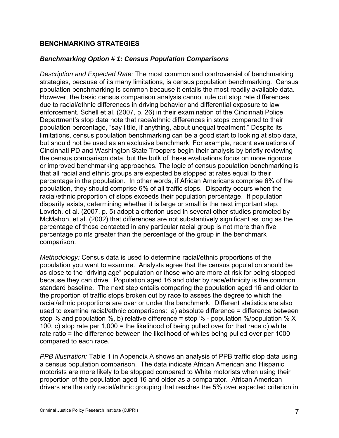#### **BENCHMARKING STRATEGIES**

#### *Benchmarking Option # 1: Census Population Comparisons*

*Description and Expected Rate:* The most common and controversial of benchmarking strategies, because of its many limitations, is census population benchmarking. Census population benchmarking is common because it entails the most readily available data. However, the basic census comparison analysis cannot rule out stop rate differences due to racial/ethnic differences in driving behavior and differential exposure to law enforcement. Schell et al. (2007, p. 26) in their examination of the Cincinnati Police Department's stop data note that race/ethnic differences in stops compared to their population percentage, "say little, if anything, about unequal treatment." Despite its limitations, census population benchmarking can be a good start to looking at stop data, but should not be used as an exclusive benchmark. For example, recent evaluations of Cincinnati PD and Washington State Troopers begin their analysis by briefly reviewing the census comparison data, but the bulk of these evaluations focus on more rigorous or improved benchmarking approaches. The logic of census population benchmarking is that all racial and ethnic groups are expected be stopped at rates equal to their percentage in the population. In other words, if African Americans comprise 6% of the population, they should comprise 6% of all traffic stops. Disparity occurs when the racial/ethnic proportion of stops exceeds their population percentage. If population disparity exists, determining whether it is large or small is the next important step. Lovrich, et al. (2007, p. 5) adopt a criterion used in several other studies promoted by McMahon, et al. (2002) that differences are not substantively significant as long as the percentage of those contacted in any particular racial group is not more than five percentage points greater than the percentage of the group in the benchmark comparison.

*Methodology:* Census data is used to determine racial/ethnic proportions of the population you want to examine. Analysts agree that the census population should be as close to the "driving age" population or those who are more at risk for being stopped because they can drive. Population aged 16 and older by race/ethnicity is the common standard baseline. The next step entails comparing the population aged 16 and older to the proportion of traffic stops broken out by race to assess the degree to which the racial/ethnic proportions are over or under the benchmark. Different statistics are also used to examine racial/ethnic comparisons:  $a)$  absolute difference = difference between stop % and population %, b) relative difference = stop % - population %/population %  $\times$ 100, c) stop rate per 1,000 = the likelihood of being pulled over for that race d) white rate ratio = the difference between the likelihood of whites being pulled over per 1000 compared to each race.

*PPB Illustration:* Table 1 in Appendix A shows an analysis of PPB traffic stop data using a census population comparison. The data indicate African American and Hispanic motorists are more likely to be stopped compared to White motorists when using their proportion of the population aged 16 and older as a comparator. African American drivers are the only racial/ethnic grouping that reaches the 5% over expected criterion in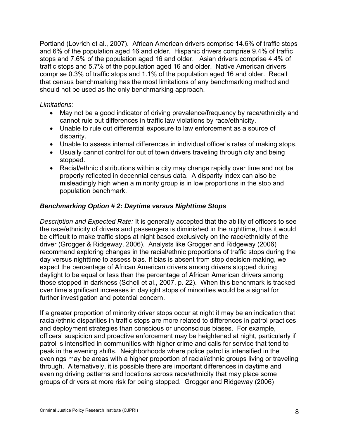Portland (Lovrich et al., 2007). African American drivers comprise 14.6% of traffic stops and 6% of the population aged 16 and older. Hispanic drivers comprise 9.4% of traffic stops and 7.6% of the population aged 16 and older. Asian drivers comprise 4.4% of traffic stops and 5.7% of the population aged 16 and older. Native American drivers comprise 0.3% of traffic stops and 1.1% of the population aged 16 and older. Recall that census benchmarking has the most limitations of any benchmarking method and should not be used as the only benchmarking approach.

#### *Limitations:*

- May not be a good indicator of driving prevalence/frequency by race/ethnicity and cannot rule out differences in traffic law violations by race/ethnicity.
- Unable to rule out differential exposure to law enforcement as a source of disparity.
- Unable to assess internal differences in individual officer's rates of making stops.
- Usually cannot control for out of town drivers traveling through city and being stopped.
- Racial/ethnic distributions within a city may change rapidly over time and not be properly reflected in decennial census data. A disparity index can also be misleadingly high when a minority group is in low proportions in the stop and population benchmark.

#### *Benchmarking Option # 2: Daytime versus Nighttime Stops*

*Description and Expected Rate:* It is generally accepted that the ability of officers to see the race/ethnicity of drivers and passengers is diminished in the nighttime, thus it would be difficult to make traffic stops at night based exclusively on the race/ethnicity of the driver (Grogger & Ridgeway, 2006). Analysts like Grogger and Ridgeway (2006) recommend exploring changes in the racial/ethnic proportions of traffic stops during the day versus nighttime to assess bias. If bias is absent from stop decision-making, we expect the percentage of African American drivers among drivers stopped during daylight to be equal or less than the percentage of African American drivers among those stopped in darkness (Schell et al., 2007, p. 22). When this benchmark is tracked over time significant increases in daylight stops of minorities would be a signal for further investigation and potential concern.

If a greater proportion of minority driver stops occur at night it may be an indication that racial/ethnic disparities in traffic stops are more related to differences in patrol practices and deployment strategies than conscious or unconscious biases. For example, officers' suspicion and proactive enforcement may be heightened at night, particularly if patrol is intensified in communities with higher crime and calls for service that tend to peak in the evening shifts. Neighborhoods where police patrol is intensified in the evenings may be areas with a higher proportion of racial/ethnic groups living or traveling through. Alternatively, it is possible there are important differences in daytime and evening driving patterns and locations across race/ethnicity that may place some groups of drivers at more risk for being stopped. Grogger and Ridgeway (2006)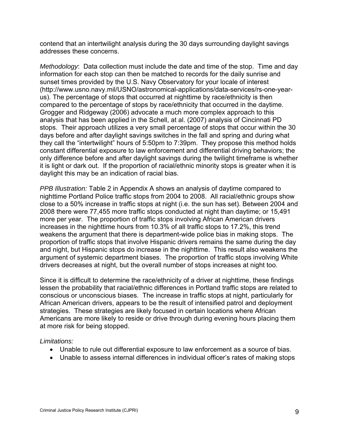contend that an intertwilight analysis during the 30 days surrounding daylight savings addresses these concerns.

*Methodology*: Data collection must include the date and time of the stop. Time and day information for each stop can then be matched to records for the daily sunrise and sunset times provided by the U.S. Navy Observatory for your locale of interest ([http://www.usno.navy.mil/USNO/astronomical-applications/data-services/rs-one-year](http://www.usno.navy.mil/USNO/astronomical-applications/data-services/rs-one-year-us)[us\)](http://www.usno.navy.mil/USNO/astronomical-applications/data-services/rs-one-year-us). The percentage of stops that occurred at nighttime by race/ethnicity is then compared to the percentage of stops by race/ethnicity that occurred in the daytime. Grogger and Ridgeway (2006) advocate a much more complex approach to this analysis that has been applied in the Schell, at al. (2007) analysis of Cincinnati PD stops. Their approach utilizes a very small percentage of stops that occur within the 30 days before and after daylight savings switches in the fall and spring and during what they call the "intertwilight" hours of 5:50pm to 7:39pm. They propose this method holds constant differential exposure to law enforcement and differential driving behaviors; the only difference before and after daylight savings during the twilight timeframe is whether it is light or dark out. If the proportion of racial/ethnic minority stops is greater when it is daylight this may be an indication of racial bias.

*PPB Illustration:* Table 2 in Appendix A shows an analysis of daytime compared to nighttime Portland Police traffic stops from 2004 to 2008. All racial/ethnic groups show close to a 50% increase in traffic stops at night (i.e. the sun has set). Between 2004 and 2008 there were 77,455 more traffic stops conducted at night than daytime; or 15,491 more per year. The proportion of traffic stops involving African American drivers increases in the nighttime hours from 10.3% of all traffic stops to 17.2%, this trend weakens the argument that there is department-wide police bias in making stops. The proportion of traffic stops that involve Hispanic drivers remains the same during the day and night, but Hispanic stops do increase in the nighttime. This result also weakens the argument of systemic department biases. The proportion of traffic stops involving White drivers decreases at night, but the overall number of stops increases at night too.

Since it is difficult to determine the race/ethnicity of a driver at nighttime, these findings lessen the probability that racial/ethnic differences in Portland traffic stops are related to conscious or unconscious biases. The increase in traffic stops at night, particularly for African American drivers, appears to be the result of intensified patrol and deployment strategies. These strategies are likely focused in certain locations where African Americans are more likely to reside or drive through during evening hours placing them at more risk for being stopped.

#### *Limitations:*

- Unable to rule out differential exposure to law enforcement as a source of bias.
- Unable to assess internal differences in individual officer's rates of making stops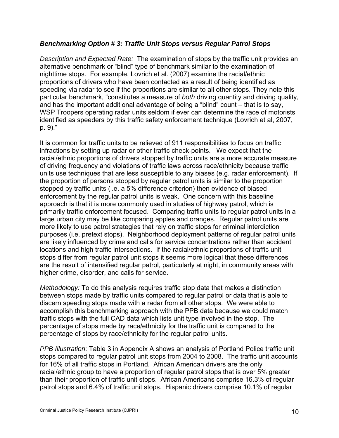#### *Benchmarking Option # 3: Traffic Unit Stops versus Regular Patrol Stops*

*Description and Expected Rate:* The examination of stops by the traffic unit provides an alternative benchmark or "blind" type of benchmark similar to the examination of nighttime stops. For example, Lovrich et al. (2007) examine the racial/ethnic proportions of drivers who have been contacted as a result of being identified as speeding via radar to see if the proportions are similar to all other stops. They note this particular benchmark, "constitutes a measure of *both* driving quantity and driving quality, and has the important additional advantage of being a "blind" count – that is to say, WSP Troopers operating radar units seldom if ever can determine the race of motorists identified as speeders by this traffic safety enforcement technique (Lovrich et al, 2007, p. 9)."

It is common for traffic units to be relieved of 911 responsibilities to focus on traffic infractions by setting up radar or other traffic check-points. We expect that the racial/ethnic proportions of drivers stopped by traffic units are a more accurate measure of driving frequency and violations of traffic laws across race/ethnicity because traffic units use techniques that are less susceptible to any biases (e.g. radar enforcement). If the proportion of persons stopped by regular patrol units is similar to the proportion stopped by traffic units (i.e. a 5% difference criterion) then evidence of biased enforcement by the regular patrol units is weak. One concern with this baseline approach is that it is more commonly used in studies of highway patrol, which is primarily traffic enforcement focused. Comparing traffic units to regular patrol units in a large urban city may be like comparing apples and oranges. Regular patrol units are more likely to use patrol strategies that rely on traffic stops for criminal interdiction purposes (i.e. pretext stops). Neighborhood deployment patterns of regular patrol units are likely influenced by crime and calls for service concentrations rather than accident locations and high traffic intersections. If the racial/ethnic proportions of traffic unit stops differ from regular patrol unit stops it seems more logical that these differences are the result of intensified regular patrol, particularly at night, in community areas with higher crime, disorder, and calls for service.

*Methodology:* To do this analysis requires traffic stop data that makes a distinction between stops made by traffic units compared to regular patrol or data that is able to discern speeding stops made with a radar from all other stops. We were able to accomplish this benchmarking approach with the PPB data because we could match traffic stops with the full CAD data which lists unit type involved in the stop. The percentage of stops made by race/ethnicity for the traffic unit is compared to the percentage of stops by race/ethnicity for the regular patrol units.

*PPB Illustration*: Table 3 in Appendix A shows an analysis of Portland Police traffic unit stops compared to regular patrol unit stops from 2004 to 2008. The traffic unit accounts for 16% of all traffic stops in Portland. African American drivers are the only racial/ethnic group to have a proportion of regular patrol stops that is over 5% greater than their proportion of traffic unit stops. African Americans comprise 16.3% of regular patrol stops and 6.4% of traffic unit stops. Hispanic drivers comprise 10.1% of regular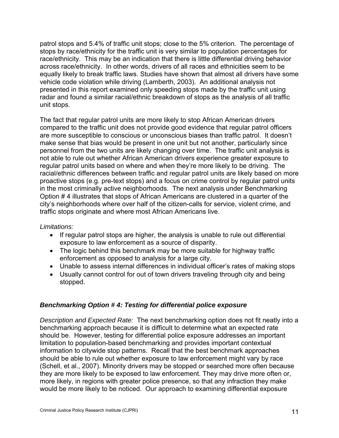patrol stops and 5.4% of traffic unit stops; close to the 5% criterion. The percentage of stops by race/ethnicity for the traffic unit is very similar to population percentages for race/ethnicity. This may be an indication that there is little differential driving behavior across race/ethnicity. In other words, drivers of all races and ethnicities seem to be equally likely to break traffic laws. Studies have shown that almost all drivers have some vehicle code violation while driving (Lamberth, 2003). An additional analysis not presented in this report examined only speeding stops made by the traffic unit using radar and found a similar racial/ethnic breakdown of stops as the analysis of all traffic unit stops.

The fact that regular patrol units are more likely to stop African American drivers compared to the traffic unit does not provide good evidence that regular patrol officers are more susceptible to conscious or unconscious biases than traffic patrol. It doesn't make sense that bias would be present in one unit but not another, particularly since personnel from the two units are likely changing over time. The traffic unit analysis is not able to rule out whether African American drivers experience greater exposure to regular patrol units based on where and when they're more likely to be driving. The racial/ethnic differences between traffic and regular patrol units are likely based on more proactive stops (e.g. pre-text stops) and a focus on crime control by regular patrol units in the most criminally active neighborhoods. The next analysis under Benchmarking Option # 4 illustrates that stops of African Americans are clustered in a quarter of the city's neighborhoods where over half of the citizen-calls for service, violent crime, and traffic stops originate and where most African Americans live.

#### *Limitations:*

- If regular patrol stops are higher, the analysis is unable to rule out differential exposure to law enforcement as a source of disparity.
- The logic behind this benchmark may be more suitable for highway traffic enforcement as opposed to analysis for a large city.
- Unable to assess internal differences in individual officer's rates of making stops
- Usually cannot control for out of town drivers traveling through city and being stopped.

#### *Benchmarking Option # 4: Testing for differential police exposure*

*Description and Expected Rate:* The next benchmarking option does not fit neatly into a benchmarking approach because it is difficult to determine what an expected rate should be. However, testing for differential police exposure addresses an important limitation to population-based benchmarking and provides important contextual information to citywide stop patterns. Recall that the best benchmark approaches should be able to rule out whether exposure to law enforcement might vary by race (Schell, et al., 2007). Minority drivers may be stopped or searched more often because they are more likely to be exposed to law enforcement. They may drive more often or, more likely, in regions with greater police presence, so that any infraction they make would be more likely to be noticed. Our approach to examining differential exposure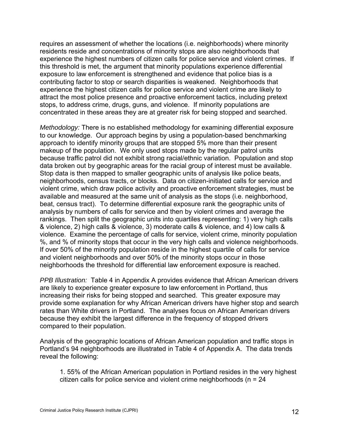requires an assessment of whether the locations (i.e. neighborhoods) where minority residents reside and concentrations of minority stops are also neighborhoods that experience the highest numbers of citizen calls for police service and violent crimes. If this threshold is met, the argument that minority populations experience differential exposure to law enforcement is strengthened and evidence that police bias is a contributing factor to stop or search disparities is weakened. Neighborhoods that experience the highest citizen calls for police service and violent crime are likely to attract the most police presence and proactive enforcement tactics, including pretext stops, to address crime, drugs, guns, and violence. If minority populations are concentrated in these areas they are at greater risk for being stopped and searched.

*Methodology:* There is no established methodology for examining differential exposure to our knowledge. Our approach begins by using a population-based benchmarking approach to identify minority groups that are stopped 5% more than their present makeup of the population. We only used stops made by the regular patrol units because traffic patrol did not exhibit strong racial/ethnic variation. Population and stop data broken out by geographic areas for the racial group of interest must be available. Stop data is then mapped to smaller geographic units of analysis like police beats, neighborhoods, census tracts, or blocks. Data on citizen-initiated calls for service and violent crime, which draw police activity and proactive enforcement strategies, must be available and measured at the same unit of analysis as the stops (i.e. neighborhood, beat, census tract). To determine differential exposure rank the geographic units of analysis by numbers of calls for service and then by violent crimes and average the rankings. Then split the geographic units into quartiles representing: 1) very high calls & violence, 2) high calls & violence, 3) moderate calls & violence, and 4) low calls & violence. Examine the percentage of calls for service, violent crime, minority population %, and % of minority stops that occur in the very high calls and violence neighborhoods. If over 50% of the minority population reside in the highest quartile of calls for service and violent neighborhoods and over 50% of the minority stops occur in those neighborhoods the threshold for differential law enforcement exposure is reached.

*PPB Illustration:* Table 4 in Appendix A provides evidence that African American drivers are likely to experience greater exposure to law enforcement in Portland, thus increasing their risks for being stopped and searched. This greater exposure may provide some explanation for why African American drivers have higher stop and search rates than White drivers in Portland. The analyses focus on African American drivers because they exhibit the largest difference in the frequency of stopped drivers compared to their population.

Analysis of the geographic locations of African American population and traffic stops in Portland's 94 neighborhoods are illustrated in Table 4 of Appendix A. The data trends reveal the following:

1. 55% of the African American population in Portland resides in the very highest citizen calls for police service and violent crime neighborhoods (n = 24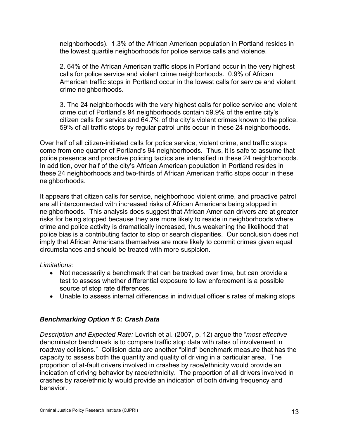neighborhoods). 1.3% of the African American population in Portland resides in the lowest quartile neighborhoods for police service calls and violence.

2. 64% of the African American traffic stops in Portland occur in the very highest calls for police service and violent crime neighborhoods. 0.9% of African American traffic stops in Portland occur in the lowest calls for service and violent crime neighborhoods.

3. The 24 neighborhoods with the very highest calls for police service and violent crime out of Portland's 94 neighborhoods contain 59.9% of the entire city's citizen calls for service and 64.7% of the city's violent crimes known to the police. 59% of all traffic stops by regular patrol units occur in these 24 neighborhoods.

Over half of all citizen-initiated calls for police service, violent crime, and traffic stops come from one quarter of Portland's 94 neighborhoods. Thus, it is safe to assume that police presence and proactive policing tactics are intensified in these 24 neighborhoods. In addition, over half of the city's African American population in Portland resides in these 24 neighborhoods and two-thirds of African American traffic stops occur in these neighborhoods.

It appears that citizen calls for service, neighborhood violent crime, and proactive patrol are all interconnected with increased risks of African Americans being stopped in neighborhoods. This analysis does suggest that African American drivers are at greater risks for being stopped because they are more likely to reside in neighborhoods where crime and police activity is dramatically increased, thus weakening the likelihood that police bias is a contributing factor to stop or search disparities. Our conclusion does not imply that African Americans themselves are more likely to commit crimes given equal circumstances and should be treated with more suspicion.

#### *Limitations:*

- Not necessarily a benchmark that can be tracked over time, but can provide a test to assess whether differential exposure to law enforcement is a possible source of stop rate differences.
- Unable to assess internal differences in individual officer's rates of making stops

# *Benchmarking Option # 5: Crash Data*

*Description and Expected Rate:* Lovrich et al. (2007, p. 12) argue the "*most effective*  denominator benchmark is to compare traffic stop data with rates of involvement in roadway collisions." Collision data are another "blind" benchmark measure that has the capacity to assess both the quantity and quality of driving in a particular area. The proportion of at-fault drivers involved in crashes by race/ethnicity would provide an indication of driving behavior by race/ethnicity. The proportion of all drivers involved in crashes by race/ethnicity would provide an indication of both driving frequency and behavior.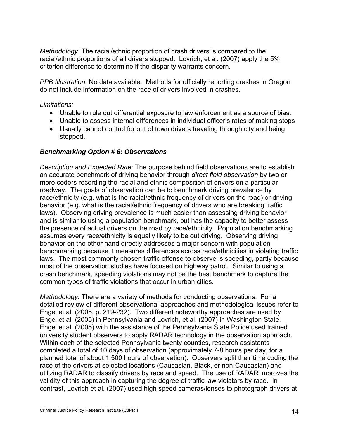*Methodology:* The racial/ethnic proportion of crash drivers is compared to the racial/ethnic proportions of all drivers stopped. Lovrich, et al. (2007) apply the 5% criterion difference to determine if the disparity warrants concern.

*PPB Illustration:* No data available. Methods for officially reporting crashes in Oregon do not include information on the race of drivers involved in crashes.

*Limitations:* 

- Unable to rule out differential exposure to law enforcement as a source of bias.
- Unable to assess internal differences in individual officer's rates of making stops
- Usually cannot control for out of town drivers traveling through city and being stopped.

#### *Benchmarking Option # 6: Observations*

*Description and Expected Rate:* The purpose behind field observations are to establish an accurate benchmark of driving behavior through *direct field observation* by two or more coders recording the racial and ethnic composition of drivers on a particular roadway. The goals of observation can be to benchmark driving prevalence by race/ethnicity (e.g. what is the racial/ethnic frequency of drivers on the road) or driving behavior (e.g. what is the racial/ethnic frequency of drivers who are breaking traffic laws). Observing driving prevalence is much easier than assessing driving behavior and is similar to using a population benchmark, but has the capacity to better assess the presence of actual drivers on the road by race/ethnicity. Population benchmarking assumes every race/ethnicity is equally likely to be out driving. Observing driving behavior on the other hand directly addresses a major concern with population benchmarking because it measures differences across race/ethnicities in violating traffic laws. The most commonly chosen traffic offense to observe is speeding, partly because most of the observation studies have focused on highway patrol. Similar to using a crash benchmark, speeding violations may not be the best benchmark to capture the common types of traffic violations that occur in urban cities.

*Methodology:* There are a variety of methods for conducting observations. For a detailed review of different observational approaches and methodological issues refer to Engel et al. (2005, p. 219-232). Two different noteworthy approaches are used by Engel et al. (2005) in Pennsylvania and Lovrich, et al. (2007) in Washington State. Engel et al. (2005) with the assistance of the Pennsylvania State Police used trained university student observers to apply RADAR technology in the observation approach. Within each of the selected Pennsylvania twenty counties, research assistants completed a total of 10 days of observation (approximately 7-8 hours per day, for a planned total of about 1,500 hours of observation). Observers split their time coding the race of the drivers at selected locations (Caucasian, Black, or non-Caucasian) and utilizing RADAR to classify drivers by race and speed. The use of RADAR improves the validity of this approach in capturing the degree of traffic law violators by race. In contrast, Lovrich et al. (2007) used high speed cameras/lenses to photograph drivers at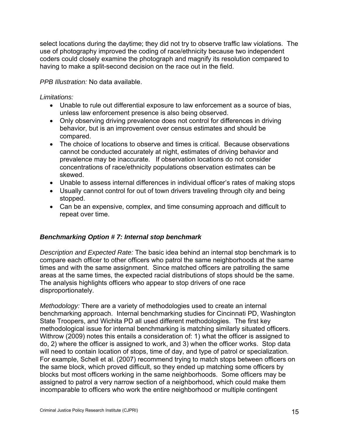select locations during the daytime; they did not try to observe traffic law violations. The use of photography improved the coding of race/ethnicity because two independent coders could closely examine the photograph and magnify its resolution compared to having to make a split-second decision on the race out in the field.

*PPB Illustration:* No data available.

*Limitations:* 

- Unable to rule out differential exposure to law enforcement as a source of bias, unless law enforcement presence is also being observed.
- Only observing driving prevalence does not control for differences in driving behavior, but is an improvement over census estimates and should be compared.
- The choice of locations to observe and times is critical. Because observations cannot be conducted accurately at night, estimates of driving behavior and prevalence may be inaccurate. If observation locations do not consider concentrations of race/ethnicity populations observation estimates can be skewed.
- Unable to assess internal differences in individual officer's rates of making stops
- Usually cannot control for out of town drivers traveling through city and being stopped.
- Can be an expensive, complex, and time consuming approach and difficult to repeat over time.

# *Benchmarking Option # 7: Internal stop benchmark*

*Description and Expected Rate:* The basic idea behind an internal stop benchmark is to compare each officer to other officers who patrol the same neighborhoods at the same times and with the same assignment. Since matched officers are patrolling the same areas at the same times, the expected racial distributions of stops should be the same. The analysis highlights officers who appear to stop drivers of one race disproportionately.

*Methodology:* There are a variety of methodologies used to create an internal benchmarking approach. Internal benchmarking studies for Cincinnati PD, Washington State Troopers, and Wichita PD all used different methodologies. The first key methodological issue for internal benchmarking is matching similarly situated officers. Withrow (2009) notes this entails a consideration of: 1) what the officer is assigned to do, 2) where the officer is assigned to work, and 3) when the officer works. Stop data will need to contain location of stops, time of day, and type of patrol or specialization. For example, Schell et al. (2007) recommend trying to match stops between officers on the same block, which proved difficult, so they ended up matching some officers by blocks but most officers working in the same neighborhoods. Some officers may be assigned to patrol a very narrow section of a neighborhood, which could make them incomparable to officers who work the entire neighborhood or multiple contingent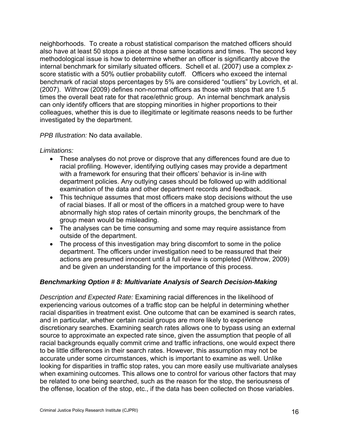neighborhoods. To create a robust statistical comparison the matched officers should also have at least 50 stops a piece at those same locations and times. The second key methodological issue is how to determine whether an officer is significantly above the internal benchmark for similarly situated officers. Schell et al. (2007) use a complex zscore statistic with a 50% outlier probability cutoff. Officers who exceed the internal benchmark of racial stops percentages by 5% are considered "outliers" by Lovrich, et al. (2007). Withrow (2009) defines non-normal officers as those with stops that are 1.5 times the overall beat rate for that race/ethnic group. An internal benchmark analysis can only identify officers that are stopping minorities in higher proportions to their colleagues, whether this is due to illegitimate or legitimate reasons needs to be further investigated by the department.

#### *PPB Illustration:* No data available.

*Limitations:* 

- These analyses do not prove or disprove that any differences found are due to racial profiling. However, identifying outlying cases may provide a department with a framework for ensuring that their officers' behavior is in-line with department policies. Any outlying cases should be followed up with additional examination of the data and other department records and feedback.
- This technique assumes that most officers make stop decisions without the use of racial biases. If all or most of the officers in a matched group were to have abnormally high stop rates of certain minority groups, the benchmark of the group mean would be misleading.
- The analyses can be time consuming and some may require assistance from outside of the department.
- The process of this investigation may bring discomfort to some in the police department. The officers under investigation need to be reassured that their actions are presumed innocent until a full review is completed (Withrow, 2009) and be given an understanding for the importance of this process.

#### *Benchmarking Option # 8: Multivariate Analysis of Search Decision-Making*

*Description and Expected Rate:* Examining racial differences in the likelihood of experiencing various outcomes of a traffic stop can be helpful in determining whether racial disparities in treatment exist. One outcome that can be examined is search rates, and in particular, whether certain racial groups are more likely to experience discretionary searches. Examining search rates allows one to bypass using an external source to approximate an expected rate since, given the assumption that people of all racial backgrounds equally commit crime and traffic infractions, one would expect there to be little differences in their search rates. However, this assumption may not be accurate under some circumstances, which is important to examine as well. Unlike looking for disparities in traffic stop rates, you can more easily use multivariate analyses when examining outcomes. This allows one to control for various other factors that may be related to one being searched, such as the reason for the stop, the seriousness of the offense, location of the stop, etc., if the data has been collected on those variables.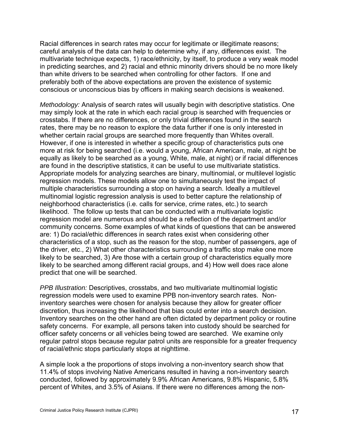Racial differences in search rates may occur for legitimate or illegitimate reasons; careful analysis of the data can help to determine why, if any, differences exist. The multivariate technique expects, 1) race/ethnicity, by itself, to produce a very weak model in predicting searches, and 2) racial and ethnic minority drivers should be no more likely than white drivers to be searched when controlling for other factors. If one and preferably both of the above expectations are proven the existence of systemic conscious or unconscious bias by officers in making search decisions is weakened.

*Methodology:* Analysis of search rates will usually begin with descriptive statistics. One may simply look at the rate in which each racial group is searched with frequencies or crosstabs. If there are no differences, or only trivial differences found in the search rates, there may be no reason to explore the data further if one is only interested in whether certain racial groups are searched more frequently than Whites overall. However, if one is interested in whether a specific group of characteristics puts one more at risk for being searched (i.e. would a young, African American, male, at night be equally as likely to be searched as a young, White, male, at night) or if racial differences are found in the descriptive statistics, it can be useful to use multivariate statistics. Appropriate models for analyzing searches are binary, multinomial, or multilevel logistic regression models. These models allow one to simultaneously test the impact of multiple characteristics surrounding a stop on having a search. Ideally a multilevel multinomial logistic regression analysis is used to better capture the relationship of neighborhood characteristics (i.e. calls for service, crime rates, etc.) to search likelihood. The follow up tests that can be conducted with a multivariate logistic regression model are numerous and should be a reflection of the department and/or community concerns. Some examples of what kinds of questions that can be answered are: 1) Do racial/ethic differences in search rates exist when considering other characteristics of a stop, such as the reason for the stop, number of passengers, age of the driver, etc., 2) What other characteristics surrounding a traffic stop make one more likely to be searched, 3) Are those with a certain group of characteristics equally more likely to be searched among different racial groups, and 4) How well does race alone predict that one will be searched.

*PPB Illustration:* Descriptives, crosstabs, and two multivariate multinomial logistic regression models were used to examine PPB non-inventory search rates. Noninventory searches were chosen for analysis because they allow for greater officer discretion, thus increasing the likelihood that bias could enter into a search decision. Inventory searches on the other hand are often dictated by department policy or routine safety concerns. For example, all persons taken into custody should be searched for officer safety concerns or all vehicles being towed are searched. We examine only regular patrol stops because regular patrol units are responsible for a greater frequency of racial/ethnic stops particularly stops at nighttime.

A simple look a the proportions of stops involving a non-inventory search show that 11.4% of stops involving Native Americans resulted in having a non-inventory search conducted, followed by approximately 9.9% African Americans, 9.8% Hispanic, 5.8% percent of Whites, and 3.5% of Asians. If there were no differences among the non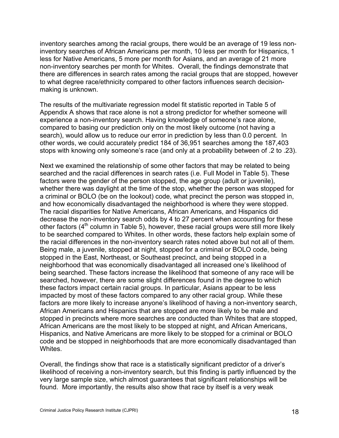inventory searches among the racial groups, there would be an average of 19 less noninventory searches of African Americans per month, 10 less per month for Hispanics, 1 less for Native Americans, 5 more per month for Asians, and an average of 21 more non-inventory searches per month for Whites. Overall, the findings demonstrate that there are differences in search rates among the racial groups that are stopped, however to what degree race/ethnicity compared to other factors influences search decisionmaking is unknown.

The results of the multivariate regression model fit statistic reported in Table 5 of Appendix A shows that race alone is not a strong predictor for whether someone will experience a non-inventory search. Having knowledge of someone's race alone, compared to basing our prediction only on the most likely outcome (not having a search), would allow us to reduce our error in prediction by less than 0.0 percent. In other words, we could accurately predict 184 of 36,951 searches among the 187,403 stops with knowing only someone's race (and only at a probability between of .2 to .23).

Next we examined the relationship of some other factors that may be related to being searched and the racial differences in search rates (i.e. Full Model in Table 5). These factors were the gender of the person stopped, the age group (adult or juvenile), whether there was daylight at the time of the stop, whether the person was stopped for a criminal or BOLO (be on the lookout) code, what precinct the person was stopped in, and how economically disadvantaged the neighborhood is where they were stopped. The racial disparities for Native Americans, African Americans, and Hispanics did decrease the non-inventory search odds by 4 to 27 percent when accounting for these other factors (4<sup>th</sup> column in Table 5), however, these racial groups were still more likely to be searched compared to Whites. In other words, these factors help explain some of the racial differences in the non-inventory search rates noted above but not all of them. Being male, a juvenile, stopped at night, stopped for a criminal or BOLO code, being stopped in the East, Northeast, or Southeast precinct, and being stopped in a neighborhood that was economically disadvantaged all increased one's likelihood of being searched. These factors increase the likelihood that someone of any race will be searched, however, there are some slight differences found in the degree to which these factors impact certain racial groups. In particular, Asians appear to be less impacted by most of these factors compared to any other racial group. While these factors are more likely to increase anyone's likelihood of having a non-inventory search, African Americans and Hispanics that are stopped are more likely to be male and stopped in precincts where more searches are conducted than Whites that are stopped, African Americans are the most likely to be stopped at night, and African Americans, Hispanics, and Native Americans are more likely to be stopped for a criminal or BOLO code and be stopped in neighborhoods that are more economically disadvantaged than Whites.

Overall, the findings show that race is a statistically significant predictor of a driver's likelihood of receiving a non-inventory search, but this finding is partly influenced by the very large sample size, which almost guarantees that significant relationships will be found. More importantly, the results also show that race by itself is a very weak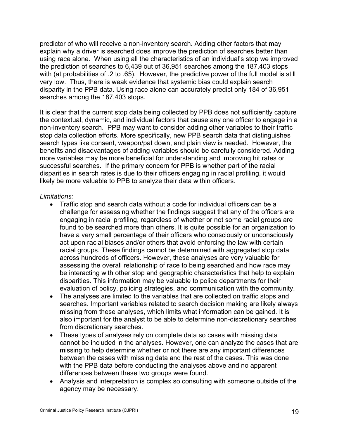predictor of who will receive a non-inventory search. Adding other factors that may explain why a driver is searched does improve the prediction of searches better than using race alone. When using all the characteristics of an individual's stop we improved the prediction of searches to 6,439 out of 36,951 searches among the 187,403 stops with (at probabilities of .2 to .65). However, the predictive power of the full model is still very low. Thus, there is weak evidence that systemic bias could explain search disparity in the PPB data. Using race alone can accurately predict only 184 of 36,951 searches among the 187,403 stops.

It is clear that the current stop data being collected by PPB does not sufficiently capture the contextual, dynamic, and individual factors that cause any one officer to engage in a non-inventory search. PPB may want to consider adding other variables to their traffic stop data collection efforts. More specifically, new PPB search data that distinguishes search types like consent, weapon/pat down, and plain view is needed. However, the benefits and disadvantages of adding variables should be carefully considered. Adding more variables may be more beneficial for understanding and improving hit rates or successful searches. If the primary concern for PPB is whether part of the racial disparities in search rates is due to their officers engaging in racial profiling, it would likely be more valuable to PPB to analyze their data within officers.

#### *Limitations:*

- Traffic stop and search data without a code for individual officers can be a challenge for assessing whether the findings suggest that any of the officers are engaging in racial profiling, regardless of whether or not some racial groups are found to be searched more than others. It is quite possible for an organization to have a very small percentage of their officers who consciously or unconsciously act upon racial biases and/or others that avoid enforcing the law with certain racial groups. These findings cannot be determined with aggregated stop data across hundreds of officers. However, these analyses are very valuable for assessing the overall relationship of race to being searched and how race may be interacting with other stop and geographic characteristics that help to explain disparities. This information may be valuable to police departments for their evaluation of policy, policing strategies, and communication with the community.
- The analyses are limited to the variables that are collected on traffic stops and searches. Important variables related to search decision making are likely always missing from these analyses, which limits what information can be gained. It is also important for the analyst to be able to determine non-discretionary searches from discretionary searches.
- These types of analyses rely on complete data so cases with missing data cannot be included in the analyses. However, one can analyze the cases that are missing to help determine whether or not there are any important differences between the cases with missing data and the rest of the cases. This was done with the PPB data before conducting the analyses above and no apparent differences between these two groups were found.
- Analysis and interpretation is complex so consulting with someone outside of the agency may be necessary.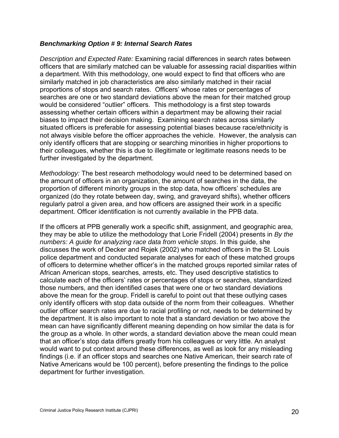#### *Benchmarking Option # 9: Internal Search Rates*

*Description and Expected Rate:* Examining racial differences in search rates between officers that are similarly matched can be valuable for assessing racial disparities within a department. With this methodology, one would expect to find that officers who are similarly matched in job characteristics are also similarly matched in their racial proportions of stops and search rates. Officers' whose rates or percentages of searches are one or two standard deviations above the mean for their matched group would be considered "outlier" officers. This methodology is a first step towards assessing whether certain officers within a department may be allowing their racial biases to impact their decision making. Examining search rates across similarly situated officers is preferable for assessing potential biases because race/ethnicity is not always visible before the officer approaches the vehicle. However, the analysis can only identify officers that are stopping or searching minorities in higher proportions to their colleagues, whether this is due to illegitimate or legitimate reasons needs to be further investigated by the department.

*Methodology:* The best research methodology would need to be determined based on the amount of officers in an organization, the amount of searches in the data, the proportion of different minority groups in the stop data, how officers' schedules are organized (do they rotate between day, swing, and graveyard shifts), whether officers regularly patrol a given area, and how officers are assigned their work in a specific department. Officer identification is not currently available in the PPB data.

If the officers at PPB generally work a specific shift, assignment, and geographic area, they may be able to utilize the methodology that Lorie Fridell (2004) presents in *By the numbers: A guide for analyzing race data from vehicle stops*. In this guide, she discusses the work of Decker and Rojek (2002) who matched officers in the St. Louis police department and conducted separate analyses for each of these matched groups of officers to determine whether officer's in the matched groups reported similar rates of African American stops, searches, arrests, etc. They used descriptive statistics to calculate each of the officers' rates or percentages of stops or searches, standardized those numbers, and then identified cases that were one or two standard deviations above the mean for the group. Fridell is careful to point out that these outlying cases only identify officers with stop data outside of the norm from their colleagues. Whether outlier officer search rates are due to racial profiling or not, needs to be determined by the department. It is also important to note that a standard deviation or two above the mean can have significantly different meaning depending on how similar the data is for the group as a whole. In other words, a standard deviation above the mean could mean that an officer's stop data differs greatly from his colleagues or very little. An analyst would want to put context around these differences, as well as look for any misleading findings (i.e. if an officer stops and searches one Native American, their search rate of Native Americans would be 100 percent), before presenting the findings to the police department for further investigation.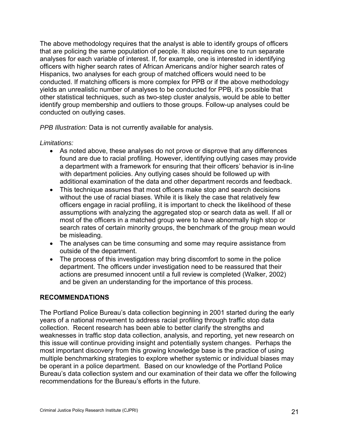The above methodology requires that the analyst is able to identify groups of officers that are policing the same population of people. It also requires one to run separate analyses for each variable of interest. If, for example, one is interested in identifying officers with higher search rates of African Americans and/or higher search rates of Hispanics, two analyses for each group of matched officers would need to be conducted. If matching officers is more complex for PPB or if the above methodology yields an unrealistic number of analyses to be conducted for PPB, it's possible that other statistical techniques, such as two-step cluster analysis, would be able to better identify group membership and outliers to those groups. Follow-up analyses could be conducted on outlying cases.

*PPB Illustration:* Data is not currently available for analysis.

#### *Limitations:*

- As noted above, these analyses do not prove or disprove that any differences found are due to racial profiling. However, identifying outlying cases may provide a department with a framework for ensuring that their officers' behavior is in-line with department policies. Any outlying cases should be followed up with additional examination of the data and other department records and feedback.
- This technique assumes that most officers make stop and search decisions without the use of racial biases. While it is likely the case that relatively few officers engage in racial profiling, it is important to check the likelihood of these assumptions with analyzing the aggregated stop or search data as well. If all or most of the officers in a matched group were to have abnormally high stop or search rates of certain minority groups, the benchmark of the group mean would be misleading.
- The analyses can be time consuming and some may require assistance from outside of the department.
- The process of this investigation may bring discomfort to some in the police department. The officers under investigation need to be reassured that their actions are presumed innocent until a full review is completed (Walker, 2002) and be given an understanding for the importance of this process.

#### **RECOMMENDATIONS**

The Portland Police Bureau's data collection beginning in 2001 started during the early years of a national movement to address racial profiling through traffic stop data collection. Recent research has been able to better clarify the strengths and weaknesses in traffic stop data collection, analysis, and reporting, yet new research on this issue will continue providing insight and potentially system changes. Perhaps the most important discovery from this growing knowledge base is the practice of using multiple benchmarking strategies to explore whether systemic or individual biases may be operant in a police department. Based on our knowledge of the Portland Police Bureau's data collection system and our examination of their data we offer the following recommendations for the Bureau's efforts in the future.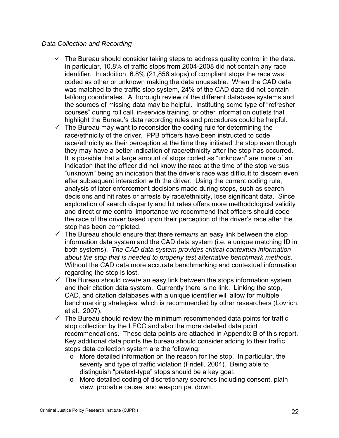#### *Data Collection and Recording*

- $\checkmark$  The Bureau should consider taking steps to address quality control in the data. In particular, 10.8% of traffic stops from 2004-2008 did not contain any race identifier. In addition, 6.8% (21,856 stops) of compliant stops the race was coded as other or unknown making the data unuasable. When the CAD data was matched to the traffic stop system, 24% of the CAD data did not contain lat/long coordinates. A thorough review of the different database systems and the sources of missing data may be helpful. Instituting some type of "refresher courses" during roll call, in-service training, or other information outlets that highlight the Bureau's data recording rules and procedures could be helpful.
- $\checkmark$  The Bureau may want to reconsider the coding rule for determining the race/ethnicity of the driver. PPB officers have been instructed to code race/ethnicity as their perception at the time they initiated the stop even though they may have a better indication of race/ethnicity after the stop has occurred. It is possible that a large amount of stops coded as "unknown" are more of an indication that the officer did not know the race at the time of the stop versus "unknown" being an indication that the driver's race was difficult to discern even after subsequent interaction with the driver. Using the current coding rule, analysis of later enforcement decisions made during stops, such as search decisions and hit rates or arrests by race/ethnicity, lose significant data. Since exploration of search disparity and hit rates offers more methodological validity and direct crime control importance we recommend that officers should code the race of the driver based upon their perception of the driver's race after the stop has been completed.
- $\checkmark$  The Bureau should ensure that there *remains* an easy link between the stop information data system and the CAD data system (i.e. a unique matching ID in both systems). *The CAD data system provides critical contextual information about the stop that is needed to properly test alternative benchmark methods*. Without the CAD data more accurate benchmarking and contextual information regarding the stop is lost.
- $\checkmark$  The Bureau should *create* an easy link between the stops information system and their citation data system. Currently there is no link. Linking the stop, CAD, and citation databases with a unique identifier will allow for multiple benchmarking strategies, which is recommended by other researchers (Lovrich, et al., 2007).
- $\checkmark$  The Bureau should review the minimum recommended data points for traffic stop collection by the LECC and also the more detailed data point recommendations. These data points are attached in Appendix B of this report. Key additional data points the bureau should consider adding to their traffic stops data collection system are the following:
	- o More detailed information on the reason for the stop. In particular, the severity and type of traffic violation (Fridell, 2004). Being able to distinguish "pretext-type" stops should be a key goal.
	- o More detailed coding of discretionary searches including consent, plain view, probable cause, and weapon pat down.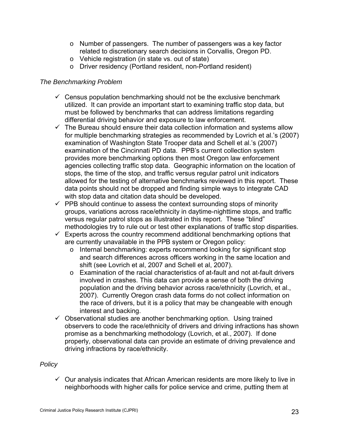- o Number of passengers. The number of passengers was a key factor related to discretionary search decisions in Corvallis, Oregon PD.
- o Vehicle registration (in state vs. out of state)
- o Driver residency (Portland resident, non-Portland resident)

#### *The Benchmarking Problem*

- $\checkmark$  Census population benchmarking should not be the exclusive benchmark utilized. It can provide an important start to examining traffic stop data, but must be followed by benchmarks that can address limitations regarding differential driving behavior and exposure to law enforcement.
- $\checkmark$  The Bureau should ensure their data collection information and systems allow for multiple benchmarking strategies as recommended by Lovrich et al.'s (2007) examination of Washington State Trooper data and Schell et al.'s (2007) examination of the Cincinnati PD data. PPB's current collection system provides more benchmarking options then most Oregon law enforcement agencies collecting traffic stop data. Geographic information on the location of stops, the time of the stop, and traffic versus regular patrol unit indicators allowed for the testing of alternative benchmarks reviewed in this report. These data points should not be dropped and finding simple ways to integrate CAD with stop data and citation data should be developed.
- $\checkmark$  PPB should continue to assess the context surrounding stops of minority groups, variations across race/ethnicity in daytime-nighttime stops, and traffic versus regular patrol stops as illustrated in this report. These "blind" methodologies try to rule out or test other explanations of traffic stop disparities.
- $\checkmark$  Experts across the country recommend additional benchmarking options that are currently unavailable in the PPB system or Oregon policy:
	- o Internal benchmarking: experts recommend looking for significant stop and search differences across officers working in the same location and shift (see Lovrich et al, 2007 and Schell et al, 2007).
	- o Examination of the racial characteristics of at-fault and not at-fault drivers involved in crashes. This data can provide a sense of both the driving population and the driving behavior across race/ethnicity (Lovrich, et al., 2007). Currently Oregon crash data forms do not collect information on the race of drivers, but it is a policy that may be changeable with enough interest and backing.
- $\checkmark$  Observational studies are another benchmarking option. Using trained observers to code the race/ethnicity of drivers and driving infractions has shown promise as a benchmarking methodology (Lovrich, et al., 2007). If done properly, observational data can provide an estimate of driving prevalence and driving infractions by race/ethnicity.

#### *Policy*

 $\checkmark$  Our analysis indicates that African American residents are more likely to live in neighborhoods with higher calls for police service and crime, putting them at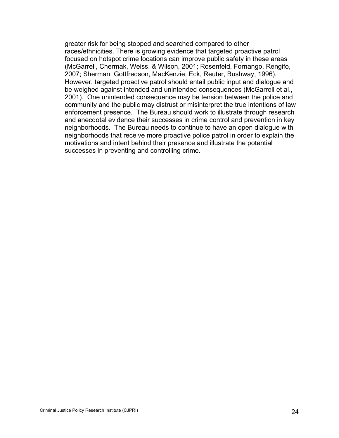greater risk for being stopped and searched compared to other races/ethnicities. There is growing evidence that targeted proactive patrol focused on hotspot crime locations can improve public safety in these areas (McGarrell, Chermak, Weiss, & Wilson, 2001; Rosenfeld, Fornango, Rengifo, 2007; Sherman, Gottfredson, MacKenzie, Eck, Reuter, Bushway, 1996). However, targeted proactive patrol should entail public input and dialogue and be weighed against intended and unintended consequences (McGarrell et al., 2001). One unintended consequence may be tension between the police and community and the public may distrust or misinterpret the true intentions of law enforcement presence. The Bureau should work to illustrate through research and anecdotal evidence their successes in crime control and prevention in key neighborhoods. The Bureau needs to continue to have an open dialogue with neighborhoods that receive more proactive police patrol in order to explain the motivations and intent behind their presence and illustrate the potential successes in preventing and controlling crime.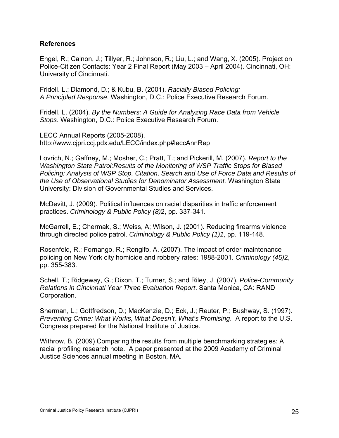#### **References**

Engel, R.; Calnon, J.; Tillyer, R.; Johnson, R.; Liu, L.; and Wang, X. (2005). Project on Police-Citizen Contacts: Year 2 Final Report (May 2003 – April 2004). Cincinnati, OH: University of Cincinnati.

Fridell. L.; Diamond, D.; & Kubu, B. (2001). *Racially Biased Policing: A Principled Response*. Washington, D.C.: Police Executive Research Forum.

Fridell. L. (2004). *By the Numbers: A Guide for Analyzing Race Data from Vehicle Stops*. Washington, D.C.: Police Executive Research Forum.

LECC Annual Reports (2005-2008). <http://www.cjpri.ccj.pdx.edu/LECC/index.php#leccAnnRep>

Lovrich, N.; Gaffney, M.; Mosher, C.; Pratt, T.; and Pickerill, M. (2007). *Report to the Washington State Patrol:Results of the Monitoring of WSP Traffic Stops for Biased Policing: Analysis of WSP Stop, Citation, Search and Use of Force Data and Results of the Use of Observational Studies for Denominator Assessment.* Washington State University: Division of Governmental Studies and Services.

McDevitt, J. (2009). Political influences on racial disparities in traffic enforcement practices. *Criminology & Public Policy (8)*2, pp. 337-341.

McGarrell, E.; Chermak, S.; Weiss, A; Wilson, J. (2001). Reducing firearms violence through directed police patrol. *Criminology & Public Policy (1)1*, pp. 119-148.

Rosenfeld, R.; Fornango, R.; Rengifo, A. (2007). The impact of order-maintenance policing on New York city homicide and robbery rates: 1988-2001. *Criminology (45)*2, pp. 355-383.

Schell, T.; Ridgeway, G.; Dixon, T.; Turner, S.; and Riley, J. (2007). *Police-Community Relations in Cincinnati Year Three Evaluation Report*. Santa Monica, CA: RAND Corporation.

Sherman, L.; Gottfredson, D.; MacKenzie, D.; Eck, J.; Reuter, P.; Bushway, S. (1997). *Preventing Crime: What Works, What Doesn't, What's Promising*. A report to the U.S. Congress prepared for the National Institute of Justice.

Withrow, B. (2009) Comparing the results from multiple benchmarking strategies: A racial profiling research note. A paper presented at the 2009 Academy of Criminal Justice Sciences annual meeting in Boston, MA.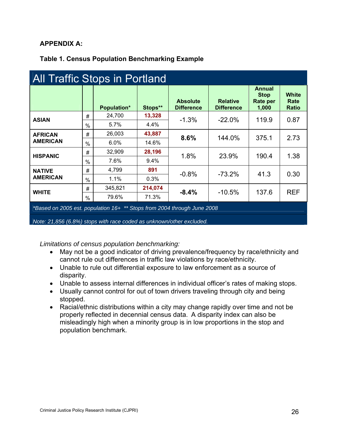# **APPENDIX A:**

# **Table 1. Census Population Benchmarking Example**

| <b>All Traffic Stops in Portland</b>                                    |               |                    |         |                                      |                                      |                                            |                                      |  |
|-------------------------------------------------------------------------|---------------|--------------------|---------|--------------------------------------|--------------------------------------|--------------------------------------------|--------------------------------------|--|
|                                                                         |               | <b>Population*</b> | Stops** | <b>Absolute</b><br><b>Difference</b> | <b>Relative</b><br><b>Difference</b> | Annual<br><b>Stop</b><br>Rate per<br>1,000 | <b>White</b><br>Rate<br><b>Ratio</b> |  |
| <b>ASIAN</b>                                                            | #             | 24,700             | 13,328  | $-1.3%$                              | $-22.0%$                             | 119.9                                      | 0.87                                 |  |
|                                                                         | $\%$          | $5.7\%$            | 4.4%    |                                      |                                      |                                            |                                      |  |
| <b>AFRICAN</b><br><b>AMERICAN</b>                                       | #             | 26,003             | 43,887  | 8.6%                                 | 144.0%                               | 375.1                                      | 2.73                                 |  |
|                                                                         | $\frac{0}{0}$ | $6.0\%$            | 14.6%   |                                      |                                      |                                            |                                      |  |
| <b>HISPANIC</b>                                                         | #             | 32,909             | 28,196  | 1.8%                                 | 23.9%                                | 190.4                                      | 1.38                                 |  |
|                                                                         | $\frac{0}{0}$ | 7.6%               | 9.4%    |                                      |                                      |                                            |                                      |  |
| <b>NATIVE</b>                                                           | #             | 4,799              | 891     | $-0.8%$                              | $-73.2%$                             | 41.3                                       | 0.30                                 |  |
| <b>AMERICAN</b>                                                         | $\frac{0}{0}$ | $1.1\%$            | 0.3%    |                                      |                                      |                                            |                                      |  |
| <b>WHITE</b>                                                            | #             | 345,821            | 214,074 | $-8.4%$                              | $-10.5%$                             | 137.6                                      |                                      |  |
|                                                                         | $\frac{0}{0}$ | 79.6%              | 71.3%   |                                      |                                      |                                            | <b>REF</b>                           |  |
| *Based on 2005 est. population 16+ ** Stops from 2004 through June 2008 |               |                    |         |                                      |                                      |                                            |                                      |  |

#### *Note: 21,856 (6.8%) stops with race coded as unknown/other excluded.*

*Limitations of census population benchmarking:* 

- May not be a good indicator of driving prevalence/frequency by race/ethnicity and cannot rule out differences in traffic law violations by race/ethnicity.
- Unable to rule out differential exposure to law enforcement as a source of disparity.
- Unable to assess internal differences in individual officer's rates of making stops.
- Usually cannot control for out of town drivers traveling through city and being stopped.
- Racial/ethnic distributions within a city may change rapidly over time and not be properly reflected in decennial census data. A disparity index can also be misleadingly high when a minority group is in low proportions in the stop and population benchmark.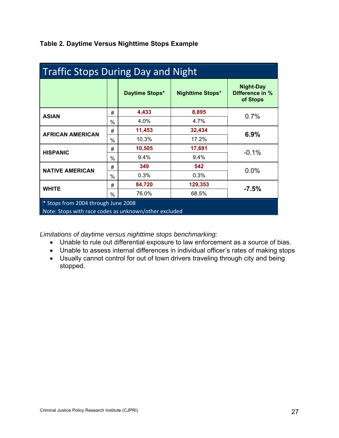| <b>Traffic Stops During Day and Night</b>             |               |                |                         |                                          |  |  |
|-------------------------------------------------------|---------------|----------------|-------------------------|------------------------------------------|--|--|
|                                                       |               | Daytime Stops* | <b>Nighttime Stops*</b> | Night-Day<br>Difference in %<br>of Stops |  |  |
| <b>ASIAN</b>                                          | #             | 4,433          | 8,895                   | 0.7%                                     |  |  |
|                                                       | $\%$          | 4.0%           | 4.7%                    |                                          |  |  |
| <b>AFRICAN AMERICAN</b>                               | #             | 11,453         | 32,434                  |                                          |  |  |
|                                                       | %             | 10.3%          | 17.2%                   | 6.9%                                     |  |  |
| <b>HISPANIC</b>                                       | #             | 10,505         | 17,691                  |                                          |  |  |
|                                                       | $\frac{0}{0}$ | 9.4%           | 9.4%                    | $-0.1%$                                  |  |  |
|                                                       | #             | 349            | 542                     |                                          |  |  |
| <b>NATIVE AMERICAN</b>                                | $\frac{0}{0}$ | 0.3%           | 0.3%                    | 0.0%                                     |  |  |
|                                                       | #             | 84,720         | 129,353                 |                                          |  |  |
| <b>WHITE</b>                                          | $\frac{0}{0}$ | 76.0%          | 68.5%                   | $-7.5%$                                  |  |  |
| * Stops from 2004 through June 2008                   |               |                |                         |                                          |  |  |
| Note: Stops with race codes as unknown/other excluded |               |                |                         |                                          |  |  |

# **Table 2. Daytime Versus Nighttime Stops Example**

*Limitations of daytime versus nighttime stops benchmarking:* 

- Unable to rule out differential exposure to law enforcement as a source of bias.
- Unable to assess internal differences in individual officer's rates of making stops
- Usually cannot control for out of town drivers traveling through city and being stopped.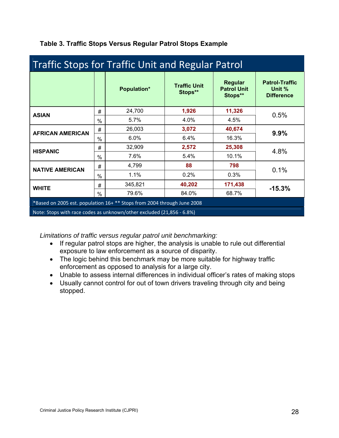| <b>Traffic Stops for Traffic Unit and Regular Patrol</b>                |               |                    |                                |                                                 |                                                      |  |  |
|-------------------------------------------------------------------------|---------------|--------------------|--------------------------------|-------------------------------------------------|------------------------------------------------------|--|--|
|                                                                         |               | <b>Population*</b> | <b>Traffic Unit</b><br>Stops** | <b>Regular</b><br><b>Patrol Unit</b><br>Stops** | <b>Patrol-Traffic</b><br>Unit %<br><b>Difference</b> |  |  |
| <b>ASIAN</b>                                                            | #             | 24,700             | 1,926                          | 11,326                                          | 0.5%                                                 |  |  |
|                                                                         | $\frac{0}{0}$ | 5.7%               | 4.0%                           | 4.5%                                            |                                                      |  |  |
| <b>AFRICAN AMERICAN</b>                                                 | #             | 26,003             | 3,072                          | 40,674                                          | 9.9%                                                 |  |  |
|                                                                         | $\frac{0}{0}$ | 6.0%               | 6.4%                           | 16.3%                                           |                                                      |  |  |
| <b>HISPANIC</b>                                                         | #             | 32,909             | 2,572                          | 25,308                                          | 4.8%                                                 |  |  |
|                                                                         | $\%$          | 7.6%               | 5.4%                           | 10.1%                                           |                                                      |  |  |
| <b>NATIVE AMERICAN</b>                                                  |               | 4,799              | 88                             | 798                                             | 0.1%                                                 |  |  |
|                                                                         |               | 1.1%               | 0.2%                           | 0.3%                                            |                                                      |  |  |
| <b>WHITE</b>                                                            | #             | 345,821            | 40,202                         | 171,438                                         | $-15.3%$                                             |  |  |
|                                                                         | $\%$          | 79.6%              | 84.0%                          | 68.7%                                           |                                                      |  |  |
| *Based on 2005 est. population 16+ ** Stops from 2004 through June 2008 |               |                    |                                |                                                 |                                                      |  |  |
| Note: Stops with race codes as unknown/other excluded (21,856 - 6.8%)   |               |                    |                                |                                                 |                                                      |  |  |

# **Table 3. Traffic Stops Versus Regular Patrol Stops Example**

*Limitations of traffic versus regular patrol unit benchmarking:* 

- If regular patrol stops are higher, the analysis is unable to rule out differential exposure to law enforcement as a source of disparity.
- The logic behind this benchmark may be more suitable for highway traffic enforcement as opposed to analysis for a large city.
- Unable to assess internal differences in individual officer's rates of making stops
- Usually cannot control for out of town drivers traveling through city and being stopped.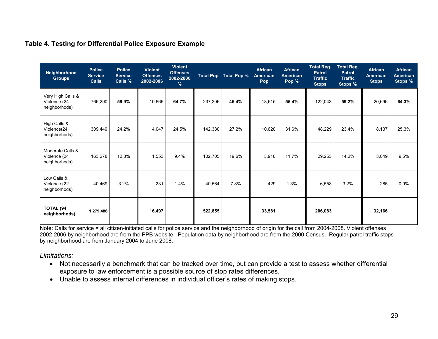| Neighborhood<br><b>Groups</b>                      | <b>Police</b><br><b>Service</b><br><b>Calls</b> | <b>Police</b><br><b>Service</b><br>Calls % | <b>Violent</b><br><b>Offenses</b><br>2002-2006 | <b>Violent</b><br><b>Offenses</b><br>2002-2006<br>$\%$ |         | Total Pop Total Pop % | <b>African</b><br><b>American</b><br><b>Pop</b> | <b>African</b><br><b>American</b><br>Pop % | <b>Total Reg.</b><br><b>Patrol</b><br><b>Traffic</b><br><b>Stops</b> | <b>Total Reg.</b><br><b>Patrol</b><br><b>Traffic</b><br><b>Stops %</b> | <b>African</b><br><b>American</b><br><b>Stops</b> | <b>African</b><br><b>American</b><br>Stops % |
|----------------------------------------------------|-------------------------------------------------|--------------------------------------------|------------------------------------------------|--------------------------------------------------------|---------|-----------------------|-------------------------------------------------|--------------------------------------------|----------------------------------------------------------------------|------------------------------------------------------------------------|---------------------------------------------------|----------------------------------------------|
| Very High Calls &<br>Violence (24<br>neighborhods) | 766,290                                         | 59.9%                                      | 10,666                                         | 64.7%                                                  | 237,206 | 45.4%                 | 18,615                                          | 55.4%                                      | 122,043                                                              | 59.2%                                                                  | 20,696                                            | 64.3%                                        |
| High Calls &<br>Violence(24<br>neighborhods)       | 309,449                                         | 24.2%                                      | 4,047                                          | 24.5%                                                  | 142,380 | 27.2%                 | 10,620                                          | 31.6%                                      | 48,229                                                               | 23.4%                                                                  | 8,137                                             | 25.3%                                        |
| Moderate Calls &<br>Violence (24<br>neighborhods)  | 163,278                                         | 12.8%                                      | 1,553                                          | 9.4%                                                   | 102,705 | 19.6%                 | 3,916                                           | 11.7%                                      | 29,253                                                               | 14.2%                                                                  | 3,049                                             | 9.5%                                         |
| Low Calls &<br>Violence (22<br>neighborhods)       | 40,469                                          | 3.2%                                       | 231                                            | 1.4%                                                   | 40,564  | 7.8%                  | 429                                             | 1.3%                                       | 6,558                                                                | 3.2%                                                                   | 285                                               | 0.9%                                         |
| TOTAL (94<br>neighborhods)                         | 1,279,486                                       |                                            | 16,497                                         |                                                        | 522,855 |                       | 33,581                                          |                                            | 206,083                                                              |                                                                        | 32,166                                            |                                              |

#### **Table 4. Testing for Differential Police Exposure Example**

Note: Calls for service = all citizen-initiated calls for police service and the neighborhood of origin for the call from 2004-2008. Violent offenses 2002-2006 by neighborhood are from the PPB website. Population data by neighborhood are from the 2000 Census. Regular patrol traffic stops by neighborhood are from January 2004 to June 2008.

*Limitations:* 

- Not necessarily a benchmark that can be tracked over time, but can provide a test to assess whether differential exposure to law enforcement is a possible source of stop rates differences.
- Unable to assess internal differences in individual officer's rates of making stops.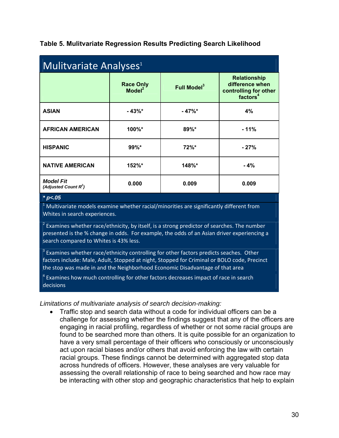| <b>Mulitvariate Analyses<sup>1</sup></b>    |                                                                   |          |                                                                                         |  |  |  |
|---------------------------------------------|-------------------------------------------------------------------|----------|-----------------------------------------------------------------------------------------|--|--|--|
|                                             | <b>Race Only</b><br>Full Model <sup>3</sup><br>Model <sup>2</sup> |          | <b>Relationship</b><br>difference when<br>controlling for other<br>factors <sup>4</sup> |  |  |  |
| <b>ASIAN</b>                                | $-43\%$                                                           | $-47\%$  | 4%                                                                                      |  |  |  |
| <b>AFRICAN AMERICAN</b>                     | 100%*                                                             | $89\%$ * | $-11%$                                                                                  |  |  |  |
| <b>HISPANIC</b>                             | $99\%$ *                                                          | $72\%$ * | $-27%$                                                                                  |  |  |  |
| <b>NATIVE AMERICAN</b>                      | 152%*                                                             | 148%*    | $-4%$                                                                                   |  |  |  |
| <b>Model Fit</b><br>(Adjusted Count $R^2$ ) | 0.000                                                             | 0.009    | 0.009                                                                                   |  |  |  |
| * $p<.05$                                   |                                                                   |          |                                                                                         |  |  |  |

 $1$  Multivariate models examine whether racial/minorities are significantly different from Whites in search experiences.

 $2$  Examines whether race/ethnicity, by itself, is a strong predictor of searches. The number presented is the % change in odds. For example, the odds of an Asian driver experiencing a search compared to Whites is 43% less.

 $3$  Examines whether race/ethnicity controlling for other factors predicts seaches. Other factors include: Male, Adult, Stopped at night, Stopped for Criminal or BOLO code, Precinct the stop was made in and the Neighborhood Economic Disadvantage of that area

 $4$  Examines how much controlling for other factors decreases impact of race in search decisions

*Limitations of multivariate analysis of search decision-making:* 

• Traffic stop and search data without a code for individual officers can be a challenge for assessing whether the findings suggest that any of the officers are engaging in racial profiling, regardless of whether or not some racial groups are found to be searched more than others. It is quite possible for an organization to have a very small percentage of their officers who consciously or unconsciously act upon racial biases and/or others that avoid enforcing the law with certain racial groups. These findings cannot be determined with aggregated stop data across hundreds of officers. However, these analyses are very valuable for assessing the overall relationship of race to being searched and how race may be interacting with other stop and geographic characteristics that help to explain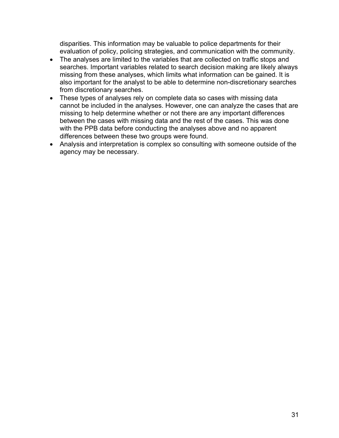disparities. This information may be valuable to police departments for their evaluation of policy, policing strategies, and communication with the community.

- The analyses are limited to the variables that are collected on traffic stops and searches. Important variables related to search decision making are likely always missing from these analyses, which limits what information can be gained. It is also important for the analyst to be able to determine non-discretionary searches from discretionary searches.
- These types of analyses rely on complete data so cases with missing data cannot be included in the analyses. However, one can analyze the cases that are missing to help determine whether or not there are any important differences between the cases with missing data and the rest of the cases. This was done with the PPB data before conducting the analyses above and no apparent differences between these two groups were found.
- Analysis and interpretation is complex so consulting with someone outside of the agency may be necessary.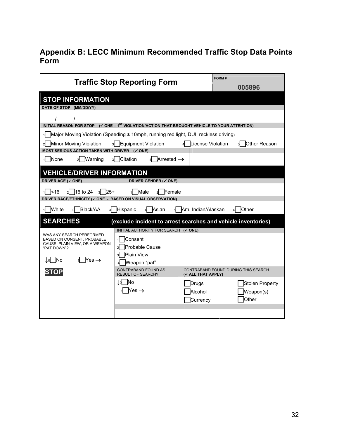# **Appendix B: LECC Minimum Recommended Traffic Stop Data Points Form**

| <b>Traffic Stop Reporting Form</b>                          | FORM#<br>005896                                                                                           |                                                           |  |  |  |  |  |  |
|-------------------------------------------------------------|-----------------------------------------------------------------------------------------------------------|-----------------------------------------------------------|--|--|--|--|--|--|
| <b>STOP INFORMATION</b>                                     |                                                                                                           |                                                           |  |  |  |  |  |  |
| DATE OF STOP (MM/DD/YY)                                     |                                                                                                           |                                                           |  |  |  |  |  |  |
|                                                             |                                                                                                           |                                                           |  |  |  |  |  |  |
|                                                             | INITIAL REASON FOR STOP (V ONE - 1 <sup>8T</sup> VIOLATION/ACTION THAT BROUGHT VEHICLE TO YOUR ATTENTION) |                                                           |  |  |  |  |  |  |
|                                                             | Major Moving Violation (Speeding ≥ 10mph, running red light, DUI, reckless driving)                       |                                                           |  |  |  |  |  |  |
| Minor Moving Violation<br>зL                                | Equipment Violation                                                                                       | License Violation<br><b>O</b> ther Reason                 |  |  |  |  |  |  |
| MOST SERIOUS ACTION TAKEN WITH DRIVER (√ ONE)               |                                                                                                           |                                                           |  |  |  |  |  |  |
| None<br>Warning                                             | Arrested $\rightarrow$<br>Citation                                                                        |                                                           |  |  |  |  |  |  |
| <b>VEHICLE/DRIVER INFORMATION</b>                           |                                                                                                           |                                                           |  |  |  |  |  |  |
| DRIVER AGE (√ ONE)                                          | DRIVER GENDER (√ ONE)                                                                                     |                                                           |  |  |  |  |  |  |
| 16 to 24<br>k16<br>l25+                                     | Male<br>Female                                                                                            |                                                           |  |  |  |  |  |  |
| DRIVER RACE/ETHNICITY (√ ONE - BASED ON VISUAL OBSERVATION) |                                                                                                           |                                                           |  |  |  |  |  |  |
| Black/AA<br><b>White</b>                                    | Hispanic<br>Asian                                                                                         | Am. Indian/Alaskan<br>Other                               |  |  |  |  |  |  |
| <b>SEARCHES</b>                                             | (exclude incident to arrest searches and vehicle inventories)                                             |                                                           |  |  |  |  |  |  |
| WAS ANY SEARCH PERFORMED                                    | INITIAL AUTHORITY FOR SEARCH (V ONE)                                                                      |                                                           |  |  |  |  |  |  |
| <b>BASED ON CONSENT. PROBABLE</b>                           | Consent                                                                                                   |                                                           |  |  |  |  |  |  |
| CAUSE, PLAIN VIEW, OR A WEAPON<br>"PAT DOWN"?               | <b>Probable Cause</b>                                                                                     |                                                           |  |  |  |  |  |  |
| Yes $\rightarrow$<br>INo                                    | <b>Plain View</b>                                                                                         |                                                           |  |  |  |  |  |  |
|                                                             | Weapon "pat"                                                                                              |                                                           |  |  |  |  |  |  |
|                                                             | CONTRABAND FOUND AS<br><b>RESULT OF SEARCH?</b>                                                           | CONTRABAND FOUND DURING THIS SEARCH<br>(V ALL THAT APPLY) |  |  |  |  |  |  |
|                                                             | tol No                                                                                                    | Stolen Property<br>Drugs                                  |  |  |  |  |  |  |
|                                                             | $Yes \rightarrow$                                                                                         | Alcohol<br>Weapon(s)                                      |  |  |  |  |  |  |
|                                                             |                                                                                                           | Other<br>Currency                                         |  |  |  |  |  |  |
|                                                             |                                                                                                           |                                                           |  |  |  |  |  |  |
|                                                             |                                                                                                           |                                                           |  |  |  |  |  |  |